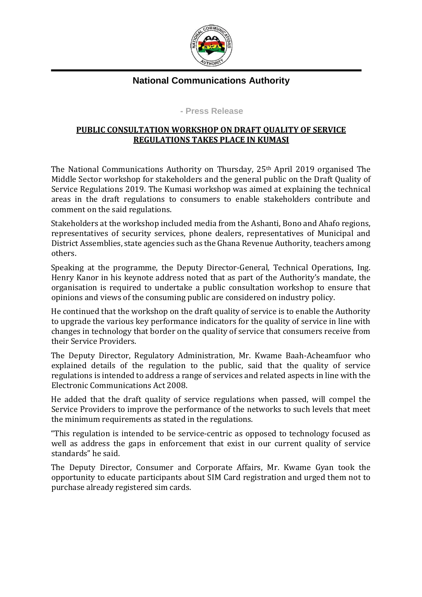

## **National Communications Authority**

## **- Press Release**

## **PUBLIC CONSULTATION WORKSHOP ON DRAFT QUALITY OF SERVICE REGULATIONS TAKES PLACE IN KUMASI**

The National Communications Authority on Thursday, 25th April 2019 organised The Middle Sector workshop for stakeholders and the general public on the Draft Quality of Service Regulations 2019. The Kumasi workshop was aimed at explaining the technical areas in the draft regulations to consumers to enable stakeholders contribute and comment on the said regulations.

Stakeholders at the workshop included media from the Ashanti, Bono and Ahafo regions, representatives of security services, phone dealers, representatives of Municipal and District Assemblies, state agencies such as the Ghana Revenue Authority, teachers among others.

Speaking at the programme, the Deputy Director-General, Technical Operations, Ing. Henry Kanor in his keynote address noted that as part of the Authority's mandate, the organisation is required to undertake a public consultation workshop to ensure that opinions and views of the consuming public are considered on industry policy.

He continued that the workshop on the draft quality of service is to enable the Authority to upgrade the various key performance indicators for the quality of service in line with changes in technology that border on the quality of service that consumers receive from their Service Providers.

The Deputy Director, Regulatory Administration, Mr. Kwame Baah-Acheamfuor who explained details of the regulation to the public, said that the quality of service regulations is intended to address a range of services and related aspects in line with the Electronic Communications Act 2008.

He added that the draft quality of service regulations when passed, will compel the Service Providers to improve the performance of the networks to such levels that meet the minimum requirements as stated in the regulations.

"This regulation is intended to be service-centric as opposed to technology focused as well as address the gaps in enforcement that exist in our current quality of service standards" he said.

The Deputy Director, Consumer and Corporate Affairs, Mr. Kwame Gyan took the opportunity to educate participants about SIM Card registration and urged them not to purchase already registered sim cards.